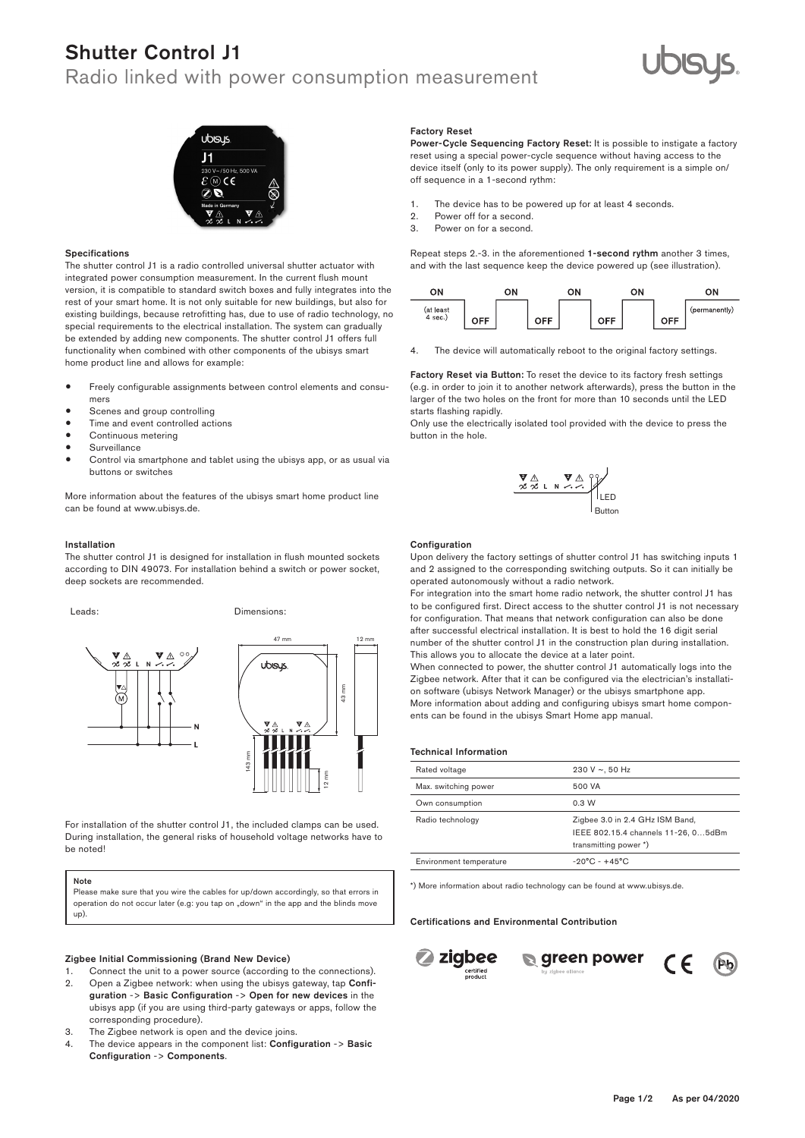# Shutter Control J1

# Radio linked with power consumption measurement





### Specifications

The shutter control J1 is a radio controlled universal shutter actuator with integrated power consumption measurement. In the current flush mount version, it is compatible to standard switch boxes and fully integrates into the rest of your smart home. It is not only suitable for new buildings, but also for existing buildings, because retrofitting has, due to use of radio technology, no special requirements to the electrical installation. The system can gradually be extended by adding new components. The shutter control J1 offers full functionality when combined with other components of the ubisys smart home product line and allows for example:

- Freely configurable assignments between control elements and consumers
- Scenes and group controlling
- Time and event controlled actions
- Continuous metering
- **Surveillance**
- Control via smartphone and tablet using the ubisys app, or as usual via buttons or switches

More information about the features of the ubisys smart home product line can be found at www.ubisys.de.

### Installation

The shutter control J1 is designed for installation in flush mounted sockets according to DIN 49073. For installation behind a switch or power socket, deep sockets are recommended.



2 1 2 1

Leads: **Example 19** Dimensions:



For installation of the shutter control  $J1,$  the included clamps can be used. During installation, the general risks of household voltage networks have to **but the set of the set of the set o** be noted! Funkvernetzt

# Note

Note<br>Please make sure that you wire the cables for up/down accordingly, so that errors in operation do not occur later (e.g: you tap on "down" in the app and the blinds move up).

# .<br>Zigbee Initial Commissioning (Brand New Device)

- 1. Connect the unit to a power source (according to the connections).
- 2. Open a Zigbee network: when using the ubisys gateway, tap Configuration -> Basic Configuration -> Open for new devices in the ubisys app (if you are using third-party gateways or apps, follow the corresponding procedure).
- 3. The Zigbee network is open and the device joins.
- 4. The device appears in the component list: Configuration -> Basic Configuration -> Components.

### Factory Reset

Power-Cycle Sequencing Factory Reset: It is possible to instigate a factory reset using a special power-cycle sequence without having access to the device itself (only to its power supply). The only requirement is a simple on/ off sequence in a 1-second rythm:

- 1. The device has to be powered up for at least 4 seconds.<br>2. Power off for a second.
- 2. Power off for a second.<br>3. Power on for a second
- Power on for a second.

Repeat steps 2.-3. in the aforementioned 1-second rythm another 3 times, and with the last sequence keep the device powered up (see illustration).



4. The device will automatically reboot to the original factory settings.

Factory Reset via Button: To reset the device to its factory fresh settings (e.g. in order to join it to another network afterwards), press the button in the larger of the two holes on the front for more than 10 seconds until the LED starts flashing rapidly.

Only use the electrically isolated tool provided with the device to press the button in the hole.



#### **Configuration**

Upon delivery the factory settings of shutter control J1 has switching inputs 1 and 2 assigned to the corresponding switching outputs. So it can initially be operated autonomously without a radio network.

to be configured first. Direct access to the shutter control J1 is not necessary **Stroot abbobb to** For integration into the smart home radio network, the shutter control J1 has means that netwo This allows you to allocate the device at a later point. stromber brauchsmessung der antiste besteht der antiste besteht auf der antiste besteht der antiste besteht der antiste besteht der antiste besteht der antiste besteht der antiste besteht der antiste besteht der antiste be for configuration. That means that network configuration can also be done 47 mm 17 mm 47 mm 12 mm 12 mm 47 mm 12 mm 47 mm 12 mm number of the shutter control J1 in the construction plan during installation. Router R0 after successful electrical installation. It is best to hold the 16 digit serial

> on software (ubisys Network Manager) or the ubisys smartphone app.<br>Mars information about adding and application ubisys smart bank as When connected to power, the shutter control J1 automatically logs into the Zigbee network. After that it can be configured via the electrician's installati-More information about adding and configuring ubisys smart home components can be found in the ubisys Smart Home app manual.

| Rated voltage           | 230 V $\sim$ , 50 Hz                                                                            |
|-------------------------|-------------------------------------------------------------------------------------------------|
| Max. switching power    | 500 VA                                                                                          |
| Own consumption         | 0.3 W                                                                                           |
| Radio technology        | Zigbee 3.0 in 2.4 GHz ISM Band,<br>IEEE 802.15.4 channels 11-26, 05dBm<br>transmitting power *) |
| Environment temperature | $-20^{\circ}$ C - $+45^{\circ}$ C                                                               |

\*) More information about radio technology can be found at www.ubisys.de.

### 2 2 Certifications and Environmental Contribution







(C